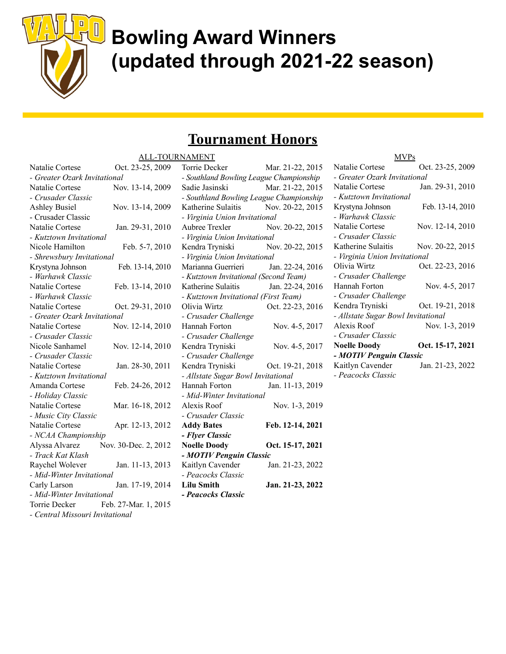

# Bowling Award Winners (updated through 2021-22 season)

### Tournament Honors

|                                 | <u>ALL-TOUI</u>      |
|---------------------------------|----------------------|
| Natalie Cortese                 | Oct. 23-25, 2009     |
| - Greater Ozark Invitational    |                      |
| Natalie Cortese                 | Nov. 13-14, 2009     |
| - Crusader Classic              |                      |
| <b>Ashley Busiel</b>            | Nov. 13-14, 2009     |
| - Crusader Classic              |                      |
| Natalie Cortese                 | Jan. 29-31, 2010     |
| - Kutztown Invitational         |                      |
| Nicole Hamilton                 | Feb. 5-7, 2010       |
| - Shrewsbury Invitational       |                      |
| Krystyna Johnson                | Feb. 13-14, 2010     |
| - Warhawk Classic               |                      |
| Natalie Cortese                 | Feb. 13-14, 2010     |
| - Warhawk Classic               |                      |
| Natalie Cortese                 | Oct. 29-31, 2010     |
| - Greater Ozark Invitational    |                      |
| Natalie Cortese                 | Nov. 12-14, 2010     |
| - Crusader Classic              |                      |
| Nicole Sanhamel                 | Nov. 12-14, 2010     |
| - Crusader Classic              |                      |
| Natalie Cortese                 | Jan. 28-30, 2011     |
| - Kutztown Invitational         |                      |
| Amanda Cortese                  | Feb. 24-26, 2012     |
| - Holiday Classic               |                      |
| Natalie Cortese                 | Mar. 16-18, 2012     |
| - Music City Classic            |                      |
| Natalie Cortese                 | Apr. 12-13, 2012     |
| - NCAA Championship             |                      |
| Alyssa Alvarez                  | Nov. 30-Dec. 2, 2012 |
| - Track Kat Klash               |                      |
| Raychel Wolever                 | Jan. 11-13, 2013     |
| - Mid-Winter Invitational       |                      |
| Carly Larson                    | Jan. 17-19, 2014     |
| - Mid-Winter Invitational       |                      |
| Torrie Decker                   | Feb. 27-Mar. 1, 2015 |
| - Central Missouri Invitational |                      |
|                                 |                      |

| RNAMENT                                 |                  |
|-----------------------------------------|------------------|
| Torrie Decker                           | Mar. 21-22, 2015 |
| - Southland Bowling League Championship |                  |
| Sadie Jasinski                          | Mar. 21-22, 2015 |
| - Southland Bowling League Championship |                  |
| Katherine Sulaitis                      | Nov. 20-22, 2015 |
| - Virginia Union Invitational           |                  |
| Aubree Trexler                          | Nov. 20-22, 2015 |
| - Virginia Union Invitational           |                  |
| Kendra Tryniski                         | Nov. 20-22, 2015 |
| - Virginia Union Invitational           |                  |
| Marianna Guerrieri                      | Jan. 22-24, 2016 |
| - Kutztown Invitational (Second Team)   |                  |
| Katherine Sulaitis                      | Jan. 22-24, 2016 |
| - Kutztown Invitational (First Team)    |                  |
| Olivia Wirtz                            | Oct. 22-23, 2016 |
| - Crusader Challenge                    |                  |
| Hannah Forton                           | Nov. 4-5, 2017   |
| - Crusader Challenge                    |                  |
| Kendra Tryniski                         | Nov. 4-5, 2017   |
| - Crusader Challenge                    |                  |
| Kendra Tryniski                         | Oct. 19-21, 2018 |
| - Allstate Sugar Bowl Invitational      |                  |
| Hannah Forton                           | Jan. 11-13, 2019 |
| - Mid-Winter Invitational               |                  |
| Alexis Roof                             | Nov. 1-3, 2019   |
| - Crusader Classic                      |                  |
| <b>Addy Bates</b>                       | Feb. 12-14, 2021 |
| - Flyer Classic                         |                  |
| <b>Noelle Doody</b>                     | Oct. 15-17, 2021 |
| - MOTIV Penguin Classic                 |                  |
| Kaitlyn Cavender                        | Jan. 21-23, 2022 |
| - Peacocks Classic                      |                  |
| <b>Lilu Smith</b>                       | Jan. 21-23, 2022 |
| - Peacocks Classic                      |                  |

| MVPs                               |                  |  |
|------------------------------------|------------------|--|
| Natalie Cortese                    | Oct. 23-25, 2009 |  |
| - Greater Ozark Invitational       |                  |  |
| Natalie Cortese                    | Jan. 29-31, 2010 |  |
| - Kutztown Invitational            |                  |  |
| Krystyna Johnson                   | Feb. 13-14, 2010 |  |
| - Warhawk Classic                  |                  |  |
| Natalie Cortese                    | Nov. 12-14, 2010 |  |
| - Crusader Classic                 |                  |  |
| Katherine Sulaitis                 | Nov. 20-22, 2015 |  |
| - Virginia Union Invitational      |                  |  |
| Olivia Wirtz                       | Oct. 22-23, 2016 |  |
| - Crusader Challenge               |                  |  |
| Hannah Forton                      | Nov. 4-5, 2017   |  |
| - Crusader Challenge               |                  |  |
| Kendra Tryniski                    | Oct. 19-21, 2018 |  |
| - Allstate Sugar Bowl Invitational |                  |  |
| Alexis Roof                        | Nov. 1-3, 2019   |  |
| - Crusader Classic                 |                  |  |
| <b>Noelle Doody</b>                | Oct. 15-17, 2021 |  |
| - MOTIV Penguin Classic            |                  |  |
| Kaitlyn Cavender                   | Jan. 21-23, 2022 |  |
| - Peacocks Classic                 |                  |  |